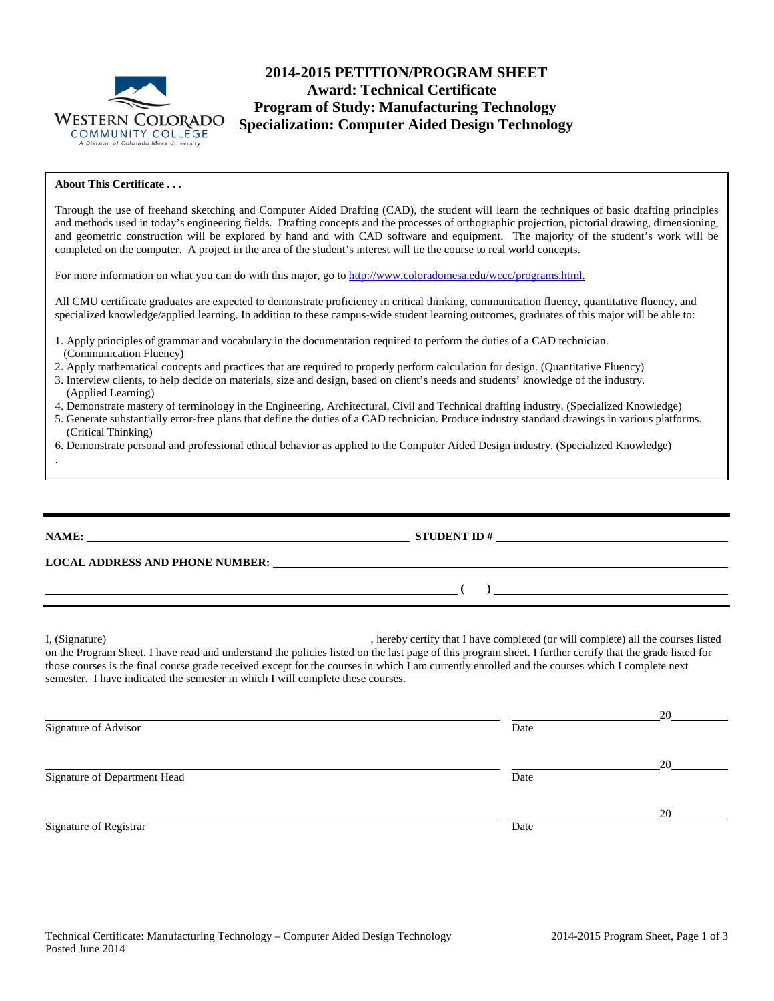

# **2014-2015 PETITION/PROGRAM SHEET Award: Technical Certificate Program of Study: Manufacturing Technology Specialization: Computer Aided Design Technology**

#### **About This Certificate . . .**

.

Through the use of freehand sketching and Computer Aided Drafting (CAD), the student will learn the techniques of basic drafting principles and methods used in today's engineering fields. Drafting concepts and the processes of orthographic projection, pictorial drawing, dimensioning, and geometric construction will be explored by hand and with CAD software and equipment. The majority of the student's work will be completed on the computer. A project in the area of the student's interest will tie the course to real world concepts.

For more information on what you can do with this major, go to [http://www.coloradomesa.edu/wccc/programs.html.](http://www.coloradomesa.edu/wccc/programs.html)

All CMU certificate graduates are expected to demonstrate proficiency in critical thinking, communication fluency, quantitative fluency, and specialized knowledge/applied learning. In addition to these campus-wide student learning outcomes, graduates of this major will be able to:

- 1. Apply principles of grammar and vocabulary in the documentation required to perform the duties of a CAD technician. (Communication Fluency)
- 2. Apply mathematical concepts and practices that are required to properly perform calculation for design. (Quantitative Fluency)
- 3. Interview clients, to help decide on materials, size and design, based on client's needs and students' knowledge of the industry. (Applied Learning)
- 4. Demonstrate mastery of terminology in the Engineering, Architectural, Civil and Technical drafting industry. (Specialized Knowledge)
- 5. Generate substantially error-free plans that define the duties of a CAD technician. Produce industry standard drawings in various platforms. (Critical Thinking)
- 6. Demonstrate personal and professional ethical behavior as applied to the Computer Aided Design industry. (Specialized Knowledge)

|                                                                                                                                                                                                                                                                                                                                                                                               | STUDENT ID $#$                              |  |  |  |  |
|-----------------------------------------------------------------------------------------------------------------------------------------------------------------------------------------------------------------------------------------------------------------------------------------------------------------------------------------------------------------------------------------------|---------------------------------------------|--|--|--|--|
|                                                                                                                                                                                                                                                                                                                                                                                               | LOCAL ADDRESS AND PHONE NUMBER:             |  |  |  |  |
|                                                                                                                                                                                                                                                                                                                                                                                               | $\left(\begin{array}{c}1\end{array}\right)$ |  |  |  |  |
| on the Program Sheet. I have read and understand the policies listed on the last page of this program sheet. I further certify that the grade listed for<br>those courses is the final course grade received except for the courses in which I am currently enrolled and the courses which I complete next<br>semester. I have indicated the semester in which I will complete these courses. |                                             |  |  |  |  |

|                              |      | 20 |
|------------------------------|------|----|
| Signature of Advisor         | Date |    |
|                              |      | 20 |
| Signature of Department Head | Date |    |
|                              |      | 20 |
| Signature of Registrar       | Date |    |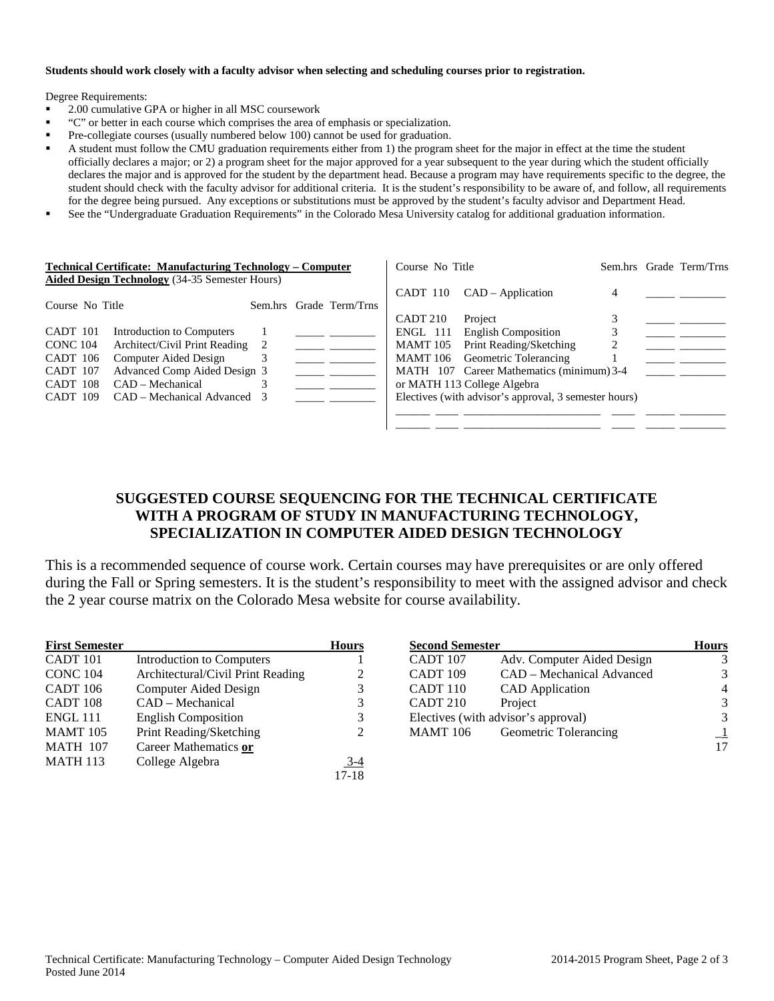### **Students should work closely with a faculty advisor when selecting and scheduling courses prior to registration.**

Degree Requirements:

- 2.00 cumulative GPA or higher in all MSC coursework
- "C" or better in each course which comprises the area of emphasis or specialization.
- Pre-collegiate courses (usually numbered below 100) cannot be used for graduation.
- A student must follow the CMU graduation requirements either from 1) the program sheet for the major in effect at the time the student officially declares a major; or 2) a program sheet for the major approved for a year subsequent to the year during which the student officially declares the major and is approved for the student by the department head. Because a program may have requirements specific to the degree, the student should check with the faculty advisor for additional criteria. It is the student's responsibility to be aware of, and follow, all requirements for the degree being pursued. Any exceptions or substitutions must be approved by the student's faculty advisor and Department Head.
- See the "Undergraduate Graduation Requirements" in the Colorado Mesa University catalog for additional graduation information.

| <b>Technical Certificate: Manufacturing Technology – Computer</b> |  | Course No Title         |                     |                                                       | Sem.hrs Grade Term/Trns |  |
|-------------------------------------------------------------------|--|-------------------------|---------------------|-------------------------------------------------------|-------------------------|--|
| <b>Aided Design Technology</b> (34-35 Semester Hours)             |  |                         |                     |                                                       |                         |  |
|                                                                   |  |                         |                     | $CADT 110$ $CAD-Application$                          | 4                       |  |
| Course No Title                                                   |  | Sem.hrs Grade Term/Trns |                     |                                                       |                         |  |
|                                                                   |  |                         | CADT <sub>210</sub> | Project                                               |                         |  |
| CADT 101<br>Introduction to Computers                             |  |                         | ENGL 111            | <b>English Composition</b>                            |                         |  |
| Architect/Civil Print Reading<br>CONC <sub>104</sub>              |  |                         | MAMT 105            | Print Reading/Sketching                               |                         |  |
| Computer Aided Design<br>CADT 106                                 |  |                         |                     | MAMT 106 Geometric Tolerancing                        |                         |  |
| Advanced Comp Aided Design 3<br>CADT 107                          |  |                         |                     | MATH 107 Career Mathematics (minimum) 3-4             |                         |  |
| $CAD - Mechanical$<br>CADT 108                                    |  |                         |                     | or MATH 113 College Algebra                           |                         |  |
| CAD – Mechanical Advanced 3<br>CADT 109                           |  |                         |                     | Electives (with advisor's approval, 3 semester hours) |                         |  |
|                                                                   |  |                         |                     |                                                       |                         |  |
|                                                                   |  |                         |                     |                                                       |                         |  |

## **SUGGESTED COURSE SEQUENCING FOR THE TECHNICAL CERTIFICATE WITH A PROGRAM OF STUDY IN MANUFACTURING TECHNOLOGY, SPECIALIZATION IN COMPUTER AIDED DESIGN TECHNOLOGY**

This is a recommended sequence of course work. Certain courses may have prerequisites or are only offered during the Fall or Spring semesters. It is the student's responsibility to meet with the assigned advisor and check the 2 year course matrix on the Colorado Mesa website for course availability.

| <b>First Semester</b> |                                   | <b>Hours</b>                |
|-----------------------|-----------------------------------|-----------------------------|
| CADT 101              | Introduction to Computers         |                             |
| <b>CONC 104</b>       | Architectural/Civil Print Reading | 2                           |
| CADT 106              | <b>Computer Aided Design</b>      | 3                           |
| CADT <sub>108</sub>   | CAD – Mechanical                  | 3                           |
| <b>ENGL 111</b>       | <b>English Composition</b>        | 3                           |
| <b>MAMT</b> 105       | Print Reading/Sketching           | $\mathcal{D}_{\mathcal{L}}$ |
| <b>MATH 107</b>       | Career Mathematics or             |                             |
| <b>MATH 113</b>       | College Algebra                   | 3-4                         |
|                       |                                   | $17-18$                     |

| <b>Second Semester</b>              | <b>Hours</b>               |   |
|-------------------------------------|----------------------------|---|
| CADT 107                            | Adv. Computer Aided Design |   |
| CADT <sub>109</sub>                 | CAD – Mechanical Advanced  |   |
| CADT 110                            | <b>CAD</b> Application     |   |
| CADT 210                            | Project                    |   |
| Electives (with advisor's approval) |                            | 3 |
| <b>MAMT</b> 106                     | Geometric Tolerancing      |   |
|                                     |                            |   |